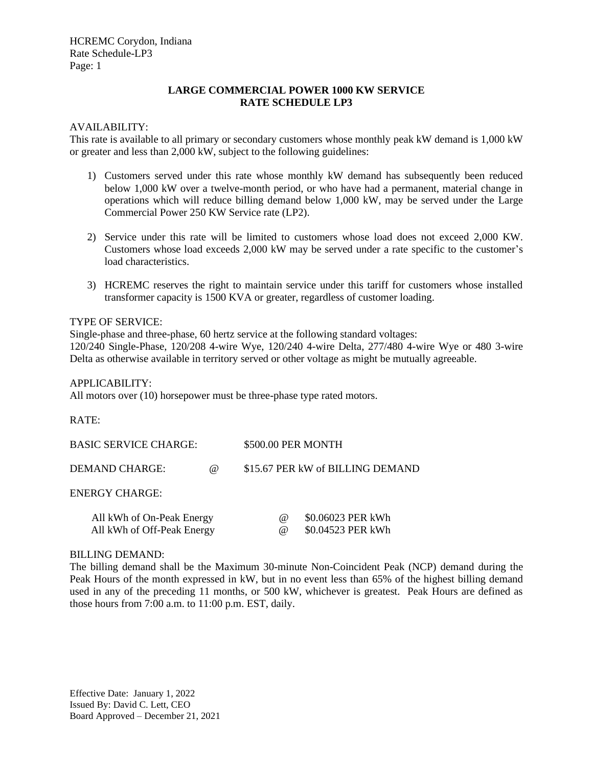# **LARGE COMMERCIAL POWER 1000 KW SERVICE RATE SCHEDULE LP3**

#### AVAILABILITY:

This rate is available to all primary or secondary customers whose monthly peak kW demand is 1,000 kW or greater and less than 2,000 kW, subject to the following guidelines:

- 1) Customers served under this rate whose monthly kW demand has subsequently been reduced below 1,000 kW over a twelve-month period, or who have had a permanent, material change in operations which will reduce billing demand below 1,000 kW, may be served under the Large Commercial Power 250 KW Service rate (LP2).
- 2) Service under this rate will be limited to customers whose load does not exceed 2,000 KW. Customers whose load exceeds 2,000 kW may be served under a rate specific to the customer's load characteristics.
- 3) HCREMC reserves the right to maintain service under this tariff for customers whose installed transformer capacity is 1500 KVA or greater, regardless of customer loading.

#### TYPE OF SERVICE:

Single-phase and three-phase, 60 hertz service at the following standard voltages: 120/240 Single-Phase, 120/208 4-wire Wye, 120/240 4-wire Delta, 277/480 4-wire Wye or 480 3-wire Delta as otherwise available in territory served or other voltage as might be mutually agreeable.

#### APPLICABILITY:

All motors over (10) horsepower must be three-phase type rated motors.

RATE:

| <b>BASIC SERVICE CHARGE:</b> |          | \$500.00 PER MONTH               |                   |
|------------------------------|----------|----------------------------------|-------------------|
| DEMAND CHARGE:               | $\omega$ | \$15.67 PER kW of BILLING DEMAND |                   |
| <b>ENERGY CHARGE:</b>        |          |                                  |                   |
| All kWh of On-Peak Energy    |          | $\omega$                         | \$0.06023 PER kWh |
| All kWh of Off-Peak Energy   |          | (a)                              | \$0.04523 PER kWh |

#### BILLING DEMAND:

The billing demand shall be the Maximum 30-minute Non-Coincident Peak (NCP) demand during the Peak Hours of the month expressed in kW, but in no event less than 65% of the highest billing demand used in any of the preceding 11 months, or 500 kW, whichever is greatest. Peak Hours are defined as those hours from 7:00 a.m. to 11:00 p.m. EST, daily.

Effective Date: January 1, 2022 Issued By: David C. Lett, CEO Board Approved – December 21, 2021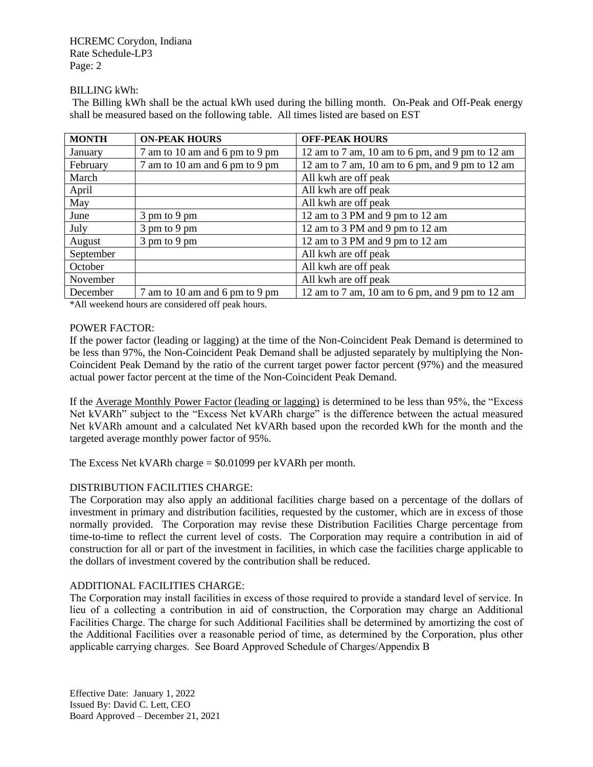HCREMC Corydon, Indiana Rate Schedule-LP3 Page: 2

## BILLING kWh:

The Billing kWh shall be the actual kWh used during the billing month. On-Peak and Off-Peak energy shall be measured based on the following table. All times listed are based on EST

| <b>MONTH</b> | <b>ON-PEAK HOURS</b>           | <b>OFF-PEAK HOURS</b>                           |
|--------------|--------------------------------|-------------------------------------------------|
| January      | 7 am to 10 am and 6 pm to 9 pm | 12 am to 7 am, 10 am to 6 pm, and 9 pm to 12 am |
| February     | 7 am to 10 am and 6 pm to 9 pm | 12 am to 7 am, 10 am to 6 pm, and 9 pm to 12 am |
| March        |                                | All kwh are off peak                            |
| April        |                                | All kwh are off peak                            |
| May          |                                | All kwh are off peak                            |
| June         | 3 pm to 9 pm                   | 12 am to 3 PM and 9 pm to 12 am                 |
| July         | $3 \text{ pm}$ to 9 pm         | 12 am to 3 PM and 9 pm to 12 am                 |
| August       | $3 \text{ pm}$ to 9 pm         | 12 am to 3 PM and 9 pm to 12 am                 |
| September    |                                | All kwh are off peak                            |
| October      |                                | All kwh are off peak                            |
| November     |                                | All kwh are off peak                            |
| December     | 7 am to 10 am and 6 pm to 9 pm | 12 am to 7 am, 10 am to 6 pm, and 9 pm to 12 am |

\*All weekend hours are considered off peak hours.

## POWER FACTOR:

If the power factor (leading or lagging) at the time of the Non-Coincident Peak Demand is determined to be less than 97%, the Non-Coincident Peak Demand shall be adjusted separately by multiplying the Non-Coincident Peak Demand by the ratio of the current target power factor percent (97%) and the measured actual power factor percent at the time of the Non-Coincident Peak Demand.

If the Average Monthly Power Factor (leading or lagging) is determined to be less than 95%, the "Excess Net kVARh" subject to the "Excess Net kVARh charge" is the difference between the actual measured Net kVARh amount and a calculated Net kVARh based upon the recorded kWh for the month and the targeted average monthly power factor of 95%.

The Excess Net kVARh charge = \$0.01099 per kVARh per month.

# DISTRIBUTION FACILITIES CHARGE:

The Corporation may also apply an additional facilities charge based on a percentage of the dollars of investment in primary and distribution facilities, requested by the customer, which are in excess of those normally provided. The Corporation may revise these Distribution Facilities Charge percentage from time-to-time to reflect the current level of costs. The Corporation may require a contribution in aid of construction for all or part of the investment in facilities, in which case the facilities charge applicable to the dollars of investment covered by the contribution shall be reduced.

# ADDITIONAL FACILITIES CHARGE:

The Corporation may install facilities in excess of those required to provide a standard level of service. In lieu of a collecting a contribution in aid of construction, the Corporation may charge an Additional Facilities Charge. The charge for such Additional Facilities shall be determined by amortizing the cost of the Additional Facilities over a reasonable period of time, as determined by the Corporation, plus other applicable carrying charges. See Board Approved Schedule of Charges/Appendix B

Effective Date: January 1, 2022 Issued By: David C. Lett, CEO Board Approved – December 21, 2021